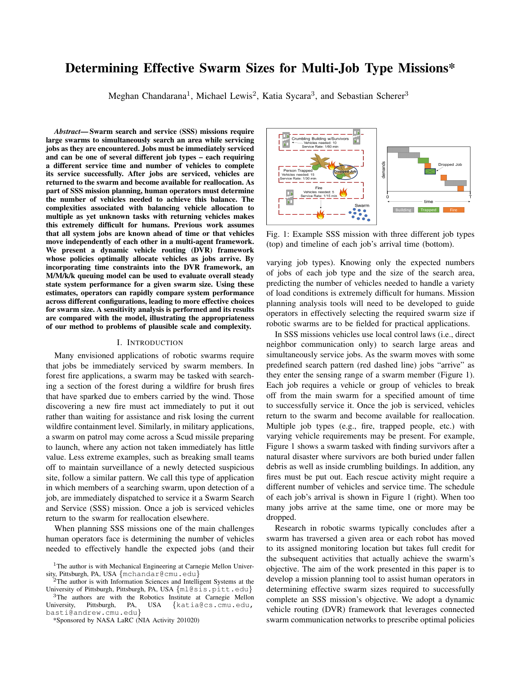# Determining Effective Swarm Sizes for Multi-Job Type Missions\*

Meghan Chandarana<sup>1</sup>, Michael Lewis<sup>2</sup>, Katia Sycara<sup>3</sup>, and Sebastian Scherer<sup>3</sup>

*Abstract*— Swarm search and service (SSS) missions require large swarms to simultaneously search an area while servicing jobs as they are encountered. Jobs must be immediately serviced and can be one of several different job types – each requiring a different service time and number of vehicles to complete its service successfully. After jobs are serviced, vehicles are returned to the swarm and become available for reallocation. As part of SSS mission planning, human operators must determine the number of vehicles needed to achieve this balance. The complexities associated with balancing vehicle allocation to multiple as yet unknown tasks with returning vehicles makes this extremely difficult for humans. Previous work assumes that all system jobs are known ahead of time or that vehicles move independently of each other in a multi-agent framework. We present a dynamic vehicle routing (DVR) framework whose policies optimally allocate vehicles as jobs arrive. By incorporating time constraints into the DVR framework, an M/M/k/k queuing model can be used to evaluate overall steady state system performance for a given swarm size. Using these estimates, operators can rapidly compare system performance across different configurations, leading to more effective choices for swarm size. A sensitivity analysis is performed and its results are compared with the model, illustrating the appropriateness of our method to problems of plausible scale and complexity.

#### I. INTRODUCTION

Many envisioned applications of robotic swarms require that jobs be immediately serviced by swarm members. In forest fire applications, a swarm may be tasked with searching a section of the forest during a wildfire for brush fires that have sparked due to embers carried by the wind. Those discovering a new fire must act immediately to put it out rather than waiting for assistance and risk losing the current wildfire containment level. Similarly, in military applications, a swarm on patrol may come across a Scud missile preparing to launch, where any action not taken immediately has little value. Less extreme examples, such as breaking small teams off to maintain surveillance of a newly detected suspicious site, follow a similar pattern. We call this type of application in which members of a searching swarm, upon detection of a job, are immediately dispatched to service it a Swarm Search and Service (SSS) mission. Once a job is serviced vehicles return to the swarm for reallocation elsewhere.

When planning SSS missions one of the main challenges human operators face is determining the number of vehicles needed to effectively handle the expected jobs (and their

<sup>2</sup>The author is with Information Sciences and Intelligent Systems at the University of Pittsburgh, Pittsburgh, PA, USA  ${m \leq s : p \leq t \cdot e}$ 

<sup>3</sup>The authors are with the Robotics Institute at Carnegie Mellon iversity. Pittsburgh, PA, USA  $\{k \text{at in } \theta \text{CS}, \text{Cmu}, \text{edu}\}$ . University, Pittsburgh, PA, USA {katia@cs.cmu.edu, basti@andrew.cmu.edu}



Fig. 1: Example SSS mission with three different job types (top) and timeline of each job's arrival time (bottom).

varying job types). Knowing only the expected numbers of jobs of each job type and the size of the search area, predicting the number of vehicles needed to handle a variety of load conditions is extremely difficult for humans. Mission planning analysis tools will need to be developed to guide operators in effectively selecting the required swarm size if robotic swarms are to be fielded for practical applications.

In SSS missions vehicles use local control laws (i.e., direct neighbor communication only) to search large areas and simultaneously service jobs. As the swarm moves with some predefined search pattern (red dashed line) jobs "arrive" as they enter the sensing range of a swarm member (Figure 1). Each job requires a vehicle or group of vehicles to break off from the main swarm for a specified amount of time to successfully service it. Once the job is serviced, vehicles return to the swarm and become available for reallocation. Multiple job types (e.g., fire, trapped people, etc.) with varying vehicle requirements may be present. For example, Figure 1 shows a swarm tasked with finding survivors after a natural disaster where survivors are both buried under fallen debris as well as inside crumbling buildings. In addition, any fires must be put out. Each rescue activity might require a different number of vehicles and service time. The schedule of each job's arrival is shown in Figure 1 (right). When too many jobs arrive at the same time, one or more may be dropped.

Research in robotic swarms typically concludes after a swarm has traversed a given area or each robot has moved to its assigned monitoring location but takes full credit for the subsequent activities that actually achieve the swarm's objective. The aim of the work presented in this paper is to develop a mission planning tool to assist human operators in determining effective swarm sizes required to successfully complete an SSS mission's objective. We adopt a dynamic vehicle routing (DVR) framework that leverages connected swarm communication networks to prescribe optimal policies

<sup>&</sup>lt;sup>1</sup>The author is with Mechanical Engineering at Carnegie Mellon University, Pittsburgh, PA, USA {mchandar@cmu.edu}

<sup>\*</sup>Sponsored by NASA LaRC (NIA Activity 201020)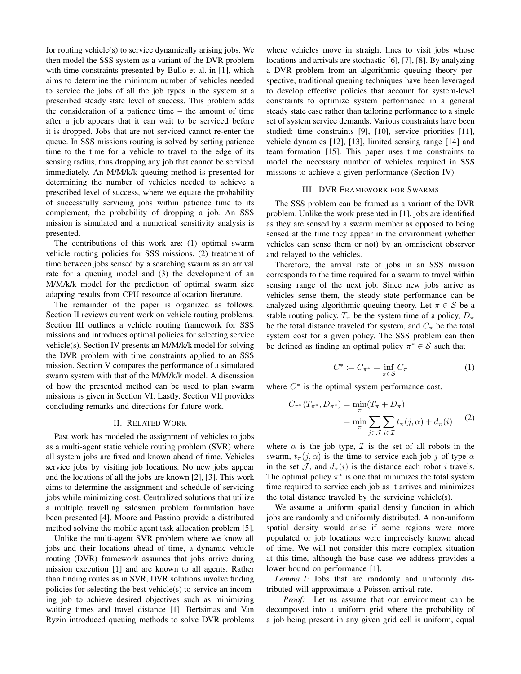for routing vehicle(s) to service dynamically arising jobs. We then model the SSS system as a variant of the DVR problem with time constraints presented by Bullo et al. in [1], which aims to determine the minimum number of vehicles needed to service the jobs of all the job types in the system at a prescribed steady state level of success. This problem adds the consideration of a patience time – the amount of time after a job appears that it can wait to be serviced before it is dropped. Jobs that are not serviced cannot re-enter the queue. In SSS missions routing is solved by setting patience time to the time for a vehicle to travel to the edge of its sensing radius, thus dropping any job that cannot be serviced immediately. An M/M/k/k queuing method is presented for determining the number of vehicles needed to achieve a prescribed level of success, where we equate the probability of successfully servicing jobs within patience time to its complement, the probability of dropping a job. An SSS mission is simulated and a numerical sensitivity analysis is presented.

The contributions of this work are: (1) optimal swarm vehicle routing policies for SSS missions, (2) treatment of time between jobs sensed by a searching swarm as an arrival rate for a queuing model and (3) the development of an M/M/k/k model for the prediction of optimal swarm size adapting results from CPU resource allocation literature.

The remainder of the paper is organized as follows. Section II reviews current work on vehicle routing problems. Section III outlines a vehicle routing framework for SSS missions and introduces optimal policies for selecting service vehicle(s). Section IV presents an M/M/k/k model for solving the DVR problem with time constraints applied to an SSS mission. Section V compares the performance of a simulated swarm system with that of the M/M/k/k model. A discussion of how the presented method can be used to plan swarm missions is given in Section VI. Lastly, Section VII provides concluding remarks and directions for future work.

## II. RELATED WORK

Past work has modeled the assignment of vehicles to jobs as a multi-agent static vehicle routing problem (SVR) where all system jobs are fixed and known ahead of time. Vehicles service jobs by visiting job locations. No new jobs appear and the locations of all the jobs are known [2], [3]. This work aims to determine the assignment and schedule of servicing jobs while minimizing cost. Centralized solutions that utilize a multiple travelling salesmen problem formulation have been presented [4]. Moore and Passino provide a distributed method solving the mobile agent task allocation problem [5].

Unlike the multi-agent SVR problem where we know all jobs and their locations ahead of time, a dynamic vehicle routing (DVR) framework assumes that jobs arrive during mission execution [1] and are known to all agents. Rather than finding routes as in SVR, DVR solutions involve finding policies for selecting the best vehicle(s) to service an incoming job to achieve desired objectives such as minimizing waiting times and travel distance [1]. Bertsimas and Van Ryzin introduced queuing methods to solve DVR problems

where vehicles move in straight lines to visit jobs whose locations and arrivals are stochastic [6], [7], [8]. By analyzing a DVR problem from an algorithmic queuing theory perspective, traditional queuing techniques have been leveraged to develop effective policies that account for system-level constraints to optimize system performance in a general steady state case rather than tailoring performance to a single set of system service demands. Various constraints have been studied: time constraints [9], [10], service priorities [11], vehicle dynamics [12], [13], limited sensing range [14] and team formation [15]. This paper uses time constraints to model the necessary number of vehicles required in SSS missions to achieve a given performance (Section IV)

#### III. DVR FRAMEWORK FOR SWARMS

The SSS problem can be framed as a variant of the DVR problem. Unlike the work presented in [1], jobs are identified as they are sensed by a swarm member as opposed to being sensed at the time they appear in the environment (whether vehicles can sense them or not) by an omniscient observer and relayed to the vehicles.

Therefore, the arrival rate of jobs in an SSS mission corresponds to the time required for a swarm to travel within sensing range of the next job. Since new jobs arrive as vehicles sense them, the steady state performance can be analyzed using algorithmic queuing theory. Let  $\pi \in \mathcal{S}$  be a stable routing policy,  $T_{\pi}$  be the system time of a policy,  $D_{\pi}$ be the total distance traveled for system, and  $C_{\pi}$  be the total system cost for a given policy. The SSS problem can then be defined as finding an optimal policy  $\pi^* \in \mathcal{S}$  such that

$$
C^* := C_{\pi^*} = \inf_{\pi \in \mathcal{S}} C_{\pi} \tag{1}
$$

where  $C^*$  is the optimal system performance cost.

$$
C_{\pi^*}(T_{\pi^*}, D_{\pi^*}) = \min_{\pi} (T_{\pi} + D_{\pi})
$$
  
= 
$$
\min_{\pi} \sum_{j \in \mathcal{J}} \sum_{i \in \mathcal{I}} t_{\pi}(j, \alpha) + d_{\pi}(i)
$$
 (2)

where  $\alpha$  is the job type,  $\mathcal I$  is the set of all robots in the swarm,  $t_{\pi}(j,\alpha)$  is the time to service each job j of type  $\alpha$ in the set  $\mathcal{J}$ , and  $d_{\pi}(i)$  is the distance each robot i travels. The optimal policy  $\pi^*$  is one that minimizes the total system time required to service each job as it arrives and minimizes the total distance traveled by the servicing vehicle(s).

We assume a uniform spatial density function in which jobs are randomly and uniformly distributed. A non-uniform spatial density would arise if some regions were more populated or job locations were imprecisely known ahead of time. We will not consider this more complex situation at this time, although the base case we address provides a lower bound on performance [1].

*Lemma 1:* Jobs that are randomly and uniformly distributed will approximate a Poisson arrival rate.

*Proof:* Let us assume that our environment can be decomposed into a uniform grid where the probability of a job being present in any given grid cell is uniform, equal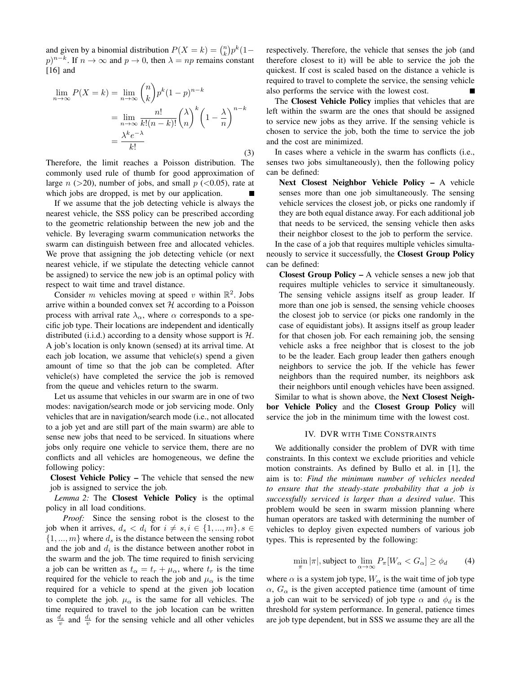and given by a binomial distribution  $P(X = k) = \binom{n}{k} p^k (1 (p)^{n-k}$ . If  $n \to \infty$  and  $p \to 0$ , then  $\lambda = np$  remains constant [16] and

$$
\lim_{n \to \infty} P(X = k) = \lim_{n \to \infty} {n \choose k} p^k (1 - p)^{n - k}
$$

$$
= \lim_{n \to \infty} \frac{n!}{k! (n - k)!} {\lambda \choose n}^k \left(1 - \frac{\lambda}{n}\right)^{n - k}
$$

$$
= \frac{\lambda^k e^{-\lambda}}{k!}
$$
(3)

Therefore, the limit reaches a Poisson distribution. The commonly used rule of thumb for good approximation of large  $n$  (>20), number of jobs, and small  $p$  (<0.05), rate at which jobs are dropped, is met by our application.

If we assume that the job detecting vehicle is always the nearest vehicle, the SSS policy can be prescribed according to the geometric relationship between the new job and the vehicle. By leveraging swarm communication networks the swarm can distinguish between free and allocated vehicles. We prove that assigning the job detecting vehicle (or next nearest vehicle, if we stipulate the detecting vehicle cannot be assigned) to service the new job is an optimal policy with respect to wait time and travel distance.

Consider m vehicles moving at speed v within  $\mathbb{R}^2$ . Jobs arrive within a bounded convex set  $H$  according to a Poisson process with arrival rate  $\lambda_{\alpha}$ , where  $\alpha$  corresponds to a specific job type. Their locations are independent and identically distributed (i.i.d.) according to a density whose support is  $H$ . A job's location is only known (sensed) at its arrival time. At each job location, we assume that vehicle(s) spend a given amount of time so that the job can be completed. After vehicle(s) have completed the service the job is removed from the queue and vehicles return to the swarm.

Let us assume that vehicles in our swarm are in one of two modes: navigation/search mode or job servicing mode. Only vehicles that are in navigation/search mode (i.e., not allocated to a job yet and are still part of the main swarm) are able to sense new jobs that need to be serviced. In situations where jobs only require one vehicle to service them, there are no conflicts and all vehicles are homogeneous, we define the following policy:

Closest Vehicle Policy – The vehicle that sensed the new job is assigned to service the job.

*Lemma 2:* The Closest Vehicle Policy is the optimal policy in all load conditions.

*Proof:* Since the sensing robot is the closest to the job when it arrives,  $d_s < d_i$  for  $i \neq s, i \in \{1, ..., m\}, s \in$  $\{1, ..., m\}$  where  $d_s$  is the distance between the sensing robot and the job and  $d_i$  is the distance between another robot in the swarm and the job. The time required to finish servicing a job can be written as  $t_{\alpha} = t_r + \mu_{\alpha}$ , where  $t_r$  is the time required for the vehicle to reach the job and  $\mu_{\alpha}$  is the time required for a vehicle to spend at the given job location to complete the job.  $\mu_{\alpha}$  is the same for all vehicles. The time required to travel to the job location can be written as  $\frac{d_s}{v}$  and  $\frac{d_i}{v}$  for the sensing vehicle and all other vehicles

respectively. Therefore, the vehicle that senses the job (and therefore closest to it) will be able to service the job the quickest. If cost is scaled based on the distance a vehicle is required to travel to complete the service, the sensing vehicle also performs the service with the lowest cost.

The Closest Vehicle Policy implies that vehicles that are left within the swarm are the ones that should be assigned to service new jobs as they arrive. If the sensing vehicle is chosen to service the job, both the time to service the job and the cost are minimized.

In cases where a vehicle in the swarm has conflicts (i.e., senses two jobs simultaneously), then the following policy can be defined:

Next Closest Neighbor Vehicle Policy – A vehicle senses more than one job simultaneously. The sensing vehicle services the closest job, or picks one randomly if they are both equal distance away. For each additional job that needs to be serviced, the sensing vehicle then asks their neighbor closest to the job to perform the service.

In the case of a job that requires multiple vehicles simultaneously to service it successfully, the Closest Group Policy can be defined:

Closest Group Policy – A vehicle senses a new job that requires multiple vehicles to service it simultaneously. The sensing vehicle assigns itself as group leader. If more than one job is sensed, the sensing vehicle chooses the closest job to service (or picks one randomly in the case of equidistant jobs). It assigns itself as group leader for that chosen job. For each remaining job, the sensing vehicle asks a free neighbor that is closest to the job to be the leader. Each group leader then gathers enough neighbors to service the job. If the vehicle has fewer neighbors than the required number, its neighbors ask their neighbors until enough vehicles have been assigned.

Similar to what is shown above, the Next Closest Neighbor Vehicle Policy and the Closest Group Policy will service the job in the minimum time with the lowest cost.

## IV. DVR WITH TIME CONSTRAINTS

We additionally consider the problem of DVR with time constraints. In this context we exclude priorities and vehicle motion constraints. As defined by Bullo et al. in [1], the aim is to: *Find the minimum number of vehicles needed to ensure that the steady-state probability that a job is successfully serviced is larger than a desired value*. This problem would be seen in swarm mission planning where human operators are tasked with determining the number of vehicles to deploy given expected numbers of various job types. This is represented by the following:

$$
\min_{\pi} |\pi|, \text{subject to } \lim_{\alpha \to \infty} P_{\pi}[W_{\alpha} < G_{\alpha}] \ge \phi_d \tag{4}
$$

where  $\alpha$  is a system job type,  $W_{\alpha}$  is the wait time of job type  $\alpha$ ,  $G_{\alpha}$  is the given accepted patience time (amount of time a job can wait to be serviced) of job type  $\alpha$  and  $\phi_d$  is the threshold for system performance. In general, patience times are job type dependent, but in SSS we assume they are all the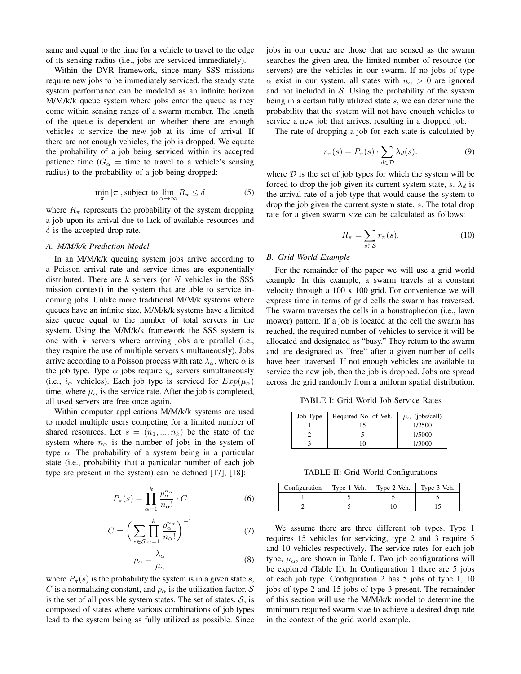same and equal to the time for a vehicle to travel to the edge of its sensing radius (i.e., jobs are serviced immediately).

Within the DVR framework, since many SSS missions require new jobs to be immediately serviced, the steady state system performance can be modeled as an infinite horizon M/M/k/k queue system where jobs enter the queue as they come within sensing range of a swarm member. The length of the queue is dependent on whether there are enough vehicles to service the new job at its time of arrival. If there are not enough vehicles, the job is dropped. We equate the probability of a job being serviced within its accepted patience time ( $G_{\alpha}$  = time to travel to a vehicle's sensing radius) to the probability of a job being dropped:

$$
\min_{\pi} |\pi|, \text{subject to } \lim_{\alpha \to \infty} R_{\pi} \le \delta \tag{5}
$$

where  $R_{\pi}$  represents the probability of the system dropping a job upon its arrival due to lack of available resources and  $\delta$  is the accepted drop rate.

## *A. M/M/k/k Prediction Model*

In an M/M/k/k queuing system jobs arrive according to a Poisson arrival rate and service times are exponentially distributed. There are  $k$  servers (or  $N$  vehicles in the SSS mission context) in the system that are able to service incoming jobs. Unlike more traditional M/M/k systems where queues have an infinite size, M/M/k/k systems have a limited size queue equal to the number of total servers in the system. Using the M/M/k/k framework the SSS system is one with  $k$  servers where arriving jobs are parallel (i.e., they require the use of multiple servers simultaneously). Jobs arrive according to a Poisson process with rate  $\lambda_{\alpha}$ , where  $\alpha$  is the job type. Type  $\alpha$  jobs require  $i_{\alpha}$  servers simultaneously (i.e.,  $i_{\alpha}$  vehicles). Each job type is serviced for  $Exp(\mu_{\alpha})$ time, where  $\mu_{\alpha}$  is the service rate. After the job is completed, all used servers are free once again.

Within computer applications M/M/k/k systems are used to model multiple users competing for a limited number of shared resources. Let  $s = (n_1, ..., n_k)$  be the state of the system where  $n_{\alpha}$  is the number of jobs in the system of type  $\alpha$ . The probability of a system being in a particular state (i.e., probability that a particular number of each job type are present in the system) can be defined [17], [18]:

$$
P_{\pi}(s) = \prod_{\alpha=1}^{k} \frac{\rho_{\alpha}^{n_{\alpha}}}{n_{\alpha}!} \cdot C
$$
 (6)

$$
C = \left(\sum_{s \in \mathcal{S}} \prod_{\alpha=1}^{k} \frac{\rho_{\alpha}^{n_{\alpha}}}{n_{\alpha}!}\right)^{-1} \tag{7}
$$

$$
\rho_{\alpha} = \frac{\lambda_{\alpha}}{\mu_{\alpha}} \tag{8}
$$

where  $P_{\pi}(s)$  is the probability the system is in a given state s, C is a normalizing constant, and  $\rho_{\alpha}$  is the utilization factor. S is the set of all possible system states. The set of states,  $S$ , is composed of states where various combinations of job types lead to the system being as fully utilized as possible. Since jobs in our queue are those that are sensed as the swarm searches the given area, the limited number of resource (or servers) are the vehicles in our swarm. If no jobs of type  $\alpha$  exist in our system, all states with  $n_{\alpha} > 0$  are ignored and not included in  $S$ . Using the probability of the system being in a certain fully utilized state s, we can determine the probability that the system will not have enough vehicles to service a new job that arrives, resulting in a dropped job.

The rate of dropping a job for each state is calculated by

$$
r_{\pi}(s) = P_{\pi}(s) \cdot \sum_{d \in \mathcal{D}} \lambda_d(s). \tag{9}
$$

where  $D$  is the set of job types for which the system will be forced to drop the job given its current system state, s.  $\lambda_d$  is the arrival rate of a job type that would cause the system to drop the job given the current system state, s. The total drop rate for a given swarm size can be calculated as follows:

$$
R_{\pi} = \sum_{s \in \mathcal{S}} r_{\pi}(s). \tag{10}
$$

## *B. Grid World Example*

For the remainder of the paper we will use a grid world example. In this example, a swarm travels at a constant velocity through a 100 x 100 grid. For convenience we will express time in terms of grid cells the swarm has traversed. The swarm traverses the cells in a boustrophedon (i.e., lawn mower) pattern. If a job is located at the cell the swarm has reached, the required number of vehicles to service it will be allocated and designated as "busy." They return to the swarm and are designated as "free" after a given number of cells have been traversed. If not enough vehicles are available to service the new job, then the job is dropped. Jobs are spread across the grid randomly from a uniform spatial distribution.

TABLE I: Grid World Job Service Rates

| Job Type | Required No. of Veh. | $\mu_{\alpha}$ (jobs/cell) |
|----------|----------------------|----------------------------|
|          |                      | 1/2500                     |
|          |                      | 1/5000                     |
|          | 10                   | 1/3000                     |

TABLE II: Grid World Configurations

| Configuration | Type 1 Veh. | Type 2 Veh. | Type 3 Veh. |
|---------------|-------------|-------------|-------------|
|               |             |             |             |
|               |             |             |             |

We assume there are three different job types. Type 1 requires 15 vehicles for servicing, type 2 and 3 require 5 and 10 vehicles respectively. The service rates for each job type,  $\mu_{\alpha}$ , are shown in Table I. Two job configurations will be explored (Table II). In Configuration 1 there are 5 jobs of each job type. Configuration 2 has 5 jobs of type 1, 10 jobs of type 2 and 15 jobs of type 3 present. The remainder of this section will use the M/M/k/k model to determine the minimum required swarm size to achieve a desired drop rate in the context of the grid world example.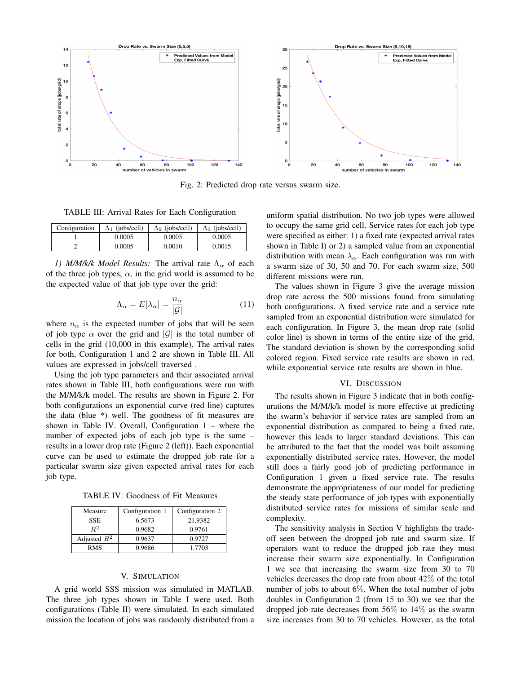

Fig. 2: Predicted drop rate versus swarm size.

TABLE III: Arrival Rates for Each Configuration

| Configuration | $\Lambda_1$ (jobs/cell) | $\Lambda_2$ (jobs/cell) | $\Lambda_3$ (jobs/cell) |
|---------------|-------------------------|-------------------------|-------------------------|
|               | 0.0005                  | 0.0005                  | 0.0005                  |
|               | 0.0005                  | 0.0010                  | 0.0015                  |

*1) M/M/k/k Model Results:* The arrival rate  $\Lambda_{\alpha}$  of each of the three job types,  $\alpha$ , in the grid world is assumed to be the expected value of that job type over the grid:

$$
\Lambda_{\alpha} = E[\lambda_{\alpha}] = \frac{n_{\alpha}}{|\mathcal{G}|}
$$
 (11)

where  $n_{\alpha}$  is the expected number of jobs that will be seen of job type  $\alpha$  over the grid and  $|\mathcal{G}|$  is the total number of cells in the grid (10,000 in this example). The arrival rates for both, Configuration 1 and 2 are shown in Table III. All values are expressed in jobs/cell traversed .

Using the job type parameters and their associated arrival rates shown in Table III, both configurations were run with the M/M/k/k model. The results are shown in Figure 2. For both configurations an exponential curve (red line) captures the data (blue \*) well. The goodness of fit measures are shown in Table IV. Overall, Configuration 1 – where the number of expected jobs of each job type is the same – results in a lower drop rate (Figure 2 (left)). Each exponential curve can be used to estimate the dropped job rate for a particular swarm size given expected arrival rates for each job type.

TABLE IV: Goodness of Fit Measures

| Measure        | Configuration 1 | Configuration 2 |
|----------------|-----------------|-----------------|
| SSE.           | 6.5673          | 21.9382         |
| $\,R^2$        | 0.9682          | 0.9761          |
| Adjusted $R^2$ | 0.9637          | 0.9727          |
| <b>RMS</b>     | 0.9686          | 1.7703          |

## V. SIMULATION

A grid world SSS mission was simulated in MATLAB. The three job types shown in Table I were used. Both configurations (Table II) were simulated. In each simulated mission the location of jobs was randomly distributed from a uniform spatial distribution. No two job types were allowed to occupy the same grid cell. Service rates for each job type were specified as either: 1) a fixed rate (expected arrival rates shown in Table I) or 2) a sampled value from an exponential distribution with mean  $\lambda_{\alpha}$ . Each configuration was run with a swarm size of 30, 50 and 70. For each swarm size, 500 different missions were run.

The values shown in Figure 3 give the average mission drop rate across the 500 missions found from simulating both configurations. A fixed service rate and a service rate sampled from an exponential distribution were simulated for each configuration. In Figure 3, the mean drop rate (solid color line) is shown in terms of the entire size of the grid. The standard deviation is shown by the corresponding solid colored region. Fixed service rate results are shown in red, while exponential service rate results are shown in blue.

## VI. DISCUSSION

The results shown in Figure 3 indicate that in both configurations the M/M/k/k model is more effective at predicting the swarm's behavior if service rates are sampled from an exponential distribution as compared to being a fixed rate, however this leads to larger standard deviations. This can be attributed to the fact that the model was built assuming exponentially distributed service rates. However, the model still does a fairly good job of predicting performance in Configuration 1 given a fixed service rate. The results demonstrate the appropriateness of our model for predicting the steady state performance of job types with exponentially distributed service rates for missions of similar scale and complexity.

The sensitivity analysis in Section V highlights the tradeoff seen between the dropped job rate and swarm size. If operators want to reduce the dropped job rate they must increase their swarm size exponentially. In Configuration 1 we see that increasing the swarm size from 30 to 70 vehicles decreases the drop rate from about 42% of the total number of jobs to about 6%. When the total number of jobs doubles in Configuration 2 (from 15 to 30) we see that the dropped job rate decreases from 56% to 14% as the swarm size increases from 30 to 70 vehicles. However, as the total